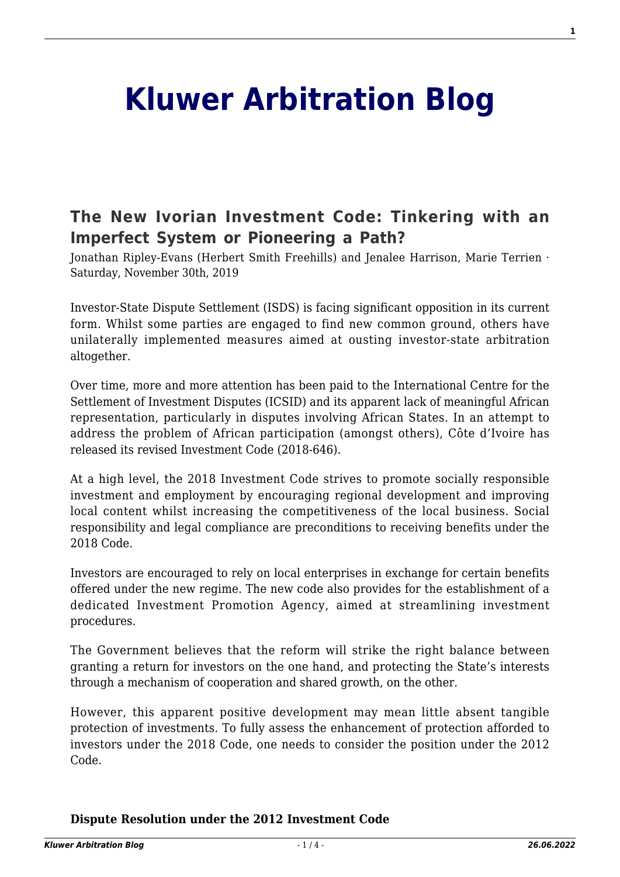# **[Kluwer Arbitration Blog](http://arbitrationblog.kluwerarbitration.com/)**

# **[The New Ivorian Investment Code: Tinkering with an](http://arbitrationblog.kluwerarbitration.com/2019/11/30/the-new-ivorian-investment-code-tinkering-with-an-imperfect-system-or-pioneering-a-path/) [Imperfect System or Pioneering a Path?](http://arbitrationblog.kluwerarbitration.com/2019/11/30/the-new-ivorian-investment-code-tinkering-with-an-imperfect-system-or-pioneering-a-path/)**

Jonathan Ripley-Evans (Herbert Smith Freehills) and Jenalee Harrison, Marie Terrien · Saturday, November 30th, 2019

Investor-State Dispute Settlement (ISDS) is facing significant opposition in its current form. Whilst some parties are engaged to find new common ground, others have unilaterally implemented measures aimed at ousting investor-state arbitration altogether.

Over time, more and more attention has been paid to the International Centre for the Settlement of Investment Disputes (ICSID) and its apparent lack of meaningful African representation, particularly in disputes involving African States. In an attempt to address the problem of African participation (amongst others), Côte d'Ivoire has released its revised Investment Code (2018-646).

At a high level, the 2018 Investment Code strives to promote socially responsible investment and employment by encouraging regional development and improving local content whilst increasing the competitiveness of the local business. Social responsibility and legal compliance are preconditions to receiving benefits under the 2018 Code.

Investors are encouraged to rely on local enterprises in exchange for certain benefits offered under the new regime. The new code also provides for the establishment of a dedicated Investment Promotion Agency, aimed at streamlining investment procedures.

The Government believes that the reform will strike the right balance between granting a return for investors on the one hand, and protecting the State's interests through a mechanism of cooperation and shared growth, on the other.

However, this apparent positive development may mean little absent tangible protection of investments. To fully assess the enhancement of protection afforded to investors under the 2018 Code, one needs to consider the position under the 2012 Code.

#### **Dispute Resolution under the 2012 Investment Code**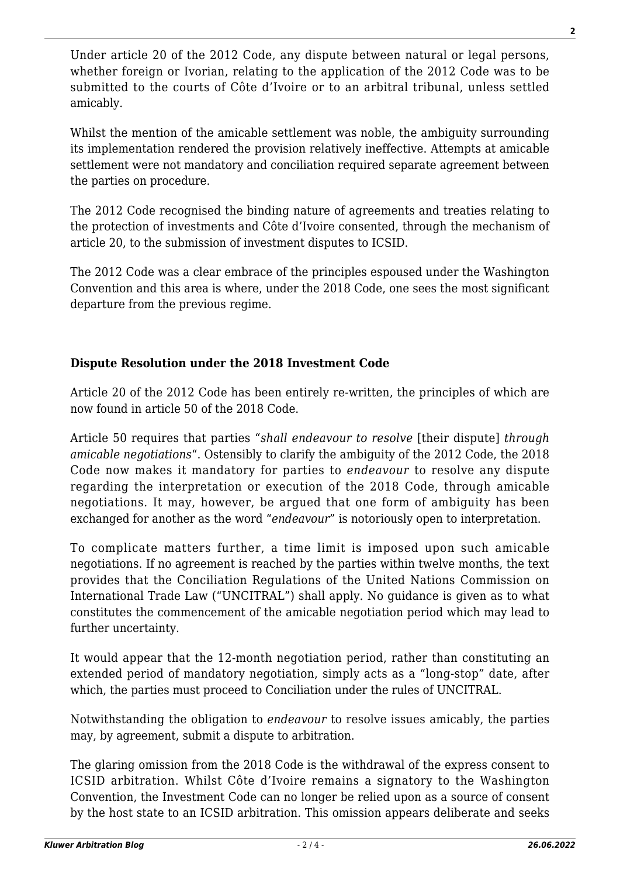Under article 20 of the 2012 Code, any dispute between natural or legal persons, whether foreign or Ivorian, relating to the application of the 2012 Code was to be submitted to the courts of Côte d'Ivoire or to an arbitral tribunal, unless settled amicably.

Whilst the mention of the amicable settlement was noble, the ambiguity surrounding its implementation rendered the provision relatively ineffective. Attempts at amicable settlement were not mandatory and conciliation required separate agreement between the parties on procedure.

The 2012 Code recognised the binding nature of agreements and treaties relating to the protection of investments and Côte d'Ivoire consented, through the mechanism of article 20, to the submission of investment disputes to ICSID.

The 2012 Code was a clear embrace of the principles espoused under the Washington Convention and this area is where, under the 2018 Code, one sees the most significant departure from the previous regime.

# **Dispute Resolution under the 2018 Investment Code**

Article 20 of the 2012 Code has been entirely re-written, the principles of which are now found in article 50 of the 2018 Code.

Article 50 requires that parties "*shall endeavour to resolve* [their dispute] *through amicable negotiations*". Ostensibly to clarify the ambiguity of the 2012 Code, the 2018 Code now makes it mandatory for parties to *endeavour* to resolve any dispute regarding the interpretation or execution of the 2018 Code, through amicable negotiations. It may, however, be argued that one form of ambiguity has been exchanged for another as the word "*endeavour*" is notoriously open to interpretation.

To complicate matters further, a time limit is imposed upon such amicable negotiations. If no agreement is reached by the parties within twelve months, the text provides that the Conciliation Regulations of the United Nations Commission on International Trade Law ("UNCITRAL") shall apply. No guidance is given as to what constitutes the commencement of the amicable negotiation period which may lead to further uncertainty.

It would appear that the 12-month negotiation period, rather than constituting an extended period of mandatory negotiation, simply acts as a "long-stop" date, after which, the parties must proceed to Conciliation under the rules of UNCITRAL.

Notwithstanding the obligation to *endeavour* to resolve issues amicably, the parties may, by agreement, submit a dispute to arbitration.

The glaring omission from the 2018 Code is the withdrawal of the express consent to ICSID arbitration. Whilst Côte d'Ivoire remains a signatory to the Washington Convention, the Investment Code can no longer be relied upon as a source of consent by the host state to an ICSID arbitration. This omission appears deliberate and seeks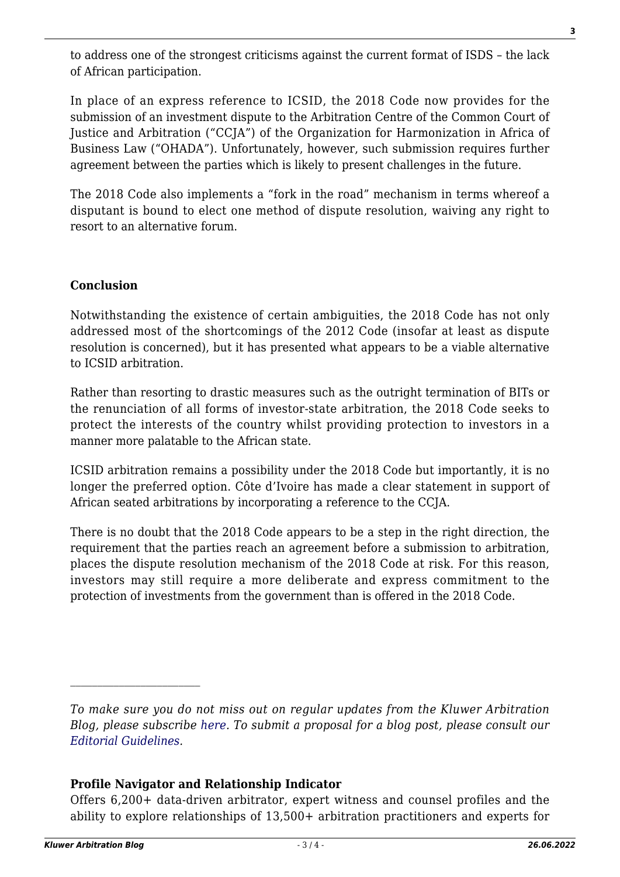to address one of the strongest criticisms against the current format of ISDS – the lack of African participation.

In place of an express reference to ICSID, the 2018 Code now provides for the submission of an investment dispute to the Arbitration Centre of the Common Court of Justice and Arbitration ("CCJA") of the Organization for Harmonization in Africa of Business Law ("OHADA"). Unfortunately, however, such submission requires further agreement between the parties which is likely to present challenges in the future.

The 2018 Code also implements a "fork in the road" mechanism in terms whereof a disputant is bound to elect one method of dispute resolution, waiving any right to resort to an alternative forum.

## **Conclusion**

Notwithstanding the existence of certain ambiguities, the 2018 Code has not only addressed most of the shortcomings of the 2012 Code (insofar at least as dispute resolution is concerned), but it has presented what appears to be a viable alternative to ICSID arbitration.

Rather than resorting to drastic measures such as the outright termination of BITs or the renunciation of all forms of investor-state arbitration, the 2018 Code seeks to protect the interests of the country whilst providing protection to investors in a manner more palatable to the African state.

ICSID arbitration remains a possibility under the 2018 Code but importantly, it is no longer the preferred option. Côte d'Ivoire has made a clear statement in support of African seated arbitrations by incorporating a reference to the CCJA.

There is no doubt that the 2018 Code appears to be a step in the right direction, the requirement that the parties reach an agreement before a submission to arbitration, places the dispute resolution mechanism of the 2018 Code at risk. For this reason, investors may still require a more deliberate and express commitment to the protection of investments from the government than is offered in the 2018 Code.

### **Profile Navigator and Relationship Indicator**

Offers 6,200+ data-driven arbitrator, expert witness and counsel profiles and the ability to explore relationships of 13,500+ arbitration practitioners and experts for

*To make sure you do not miss out on regular updates from the Kluwer Arbitration Blog, please subscribe [here](http://arbitrationblog.kluwerarbitration.com/newsletter/). To submit a proposal for a blog post, please consult our [Editorial Guidelines.](http://arbitrationblog.kluwerarbitration.com/editorial-guidelines/)*